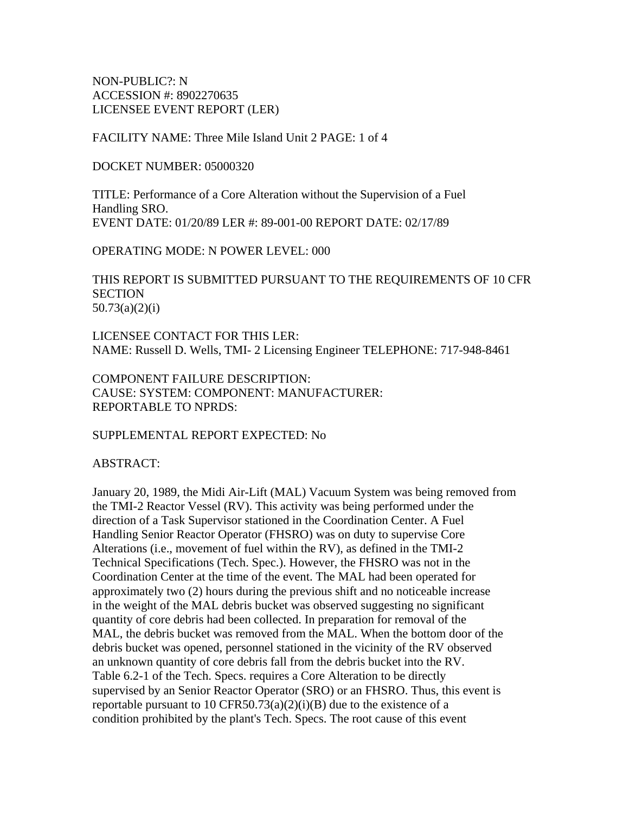NON-PUBLIC?: N ACCESSION #: 8902270635 LICENSEE EVENT REPORT (LER)

FACILITY NAME: Three Mile Island Unit 2 PAGE: 1 of 4

DOCKET NUMBER: 05000320

TITLE: Performance of a Core Alteration without the Supervision of a Fuel Handling SRO. EVENT DATE: 01/20/89 LER #: 89-001-00 REPORT DATE: 02/17/89

OPERATING MODE: N POWER LEVEL: 000

THIS REPORT IS SUBMITTED PURSUANT TO THE REQUIREMENTS OF 10 CFR **SECTION** 50.73(a)(2)(i)

LICENSEE CONTACT FOR THIS LER: NAME: Russell D. Wells, TMI- 2 Licensing Engineer TELEPHONE: 717-948-8461

COMPONENT FAILURE DESCRIPTION: CAUSE: SYSTEM: COMPONENT: MANUFACTURER: REPORTABLE TO NPRDS:

SUPPLEMENTAL REPORT EXPECTED: No

ABSTRACT:

January 20, 1989, the Midi Air-Lift (MAL) Vacuum System was being removed from the TMI-2 Reactor Vessel (RV). This activity was being performed under the direction of a Task Supervisor stationed in the Coordination Center. A Fuel Handling Senior Reactor Operator (FHSRO) was on duty to supervise Core Alterations (i.e., movement of fuel within the RV), as defined in the TMI-2 Technical Specifications (Tech. Spec.). However, the FHSRO was not in the Coordination Center at the time of the event. The MAL had been operated for approximately two (2) hours during the previous shift and no noticeable increase in the weight of the MAL debris bucket was observed suggesting no significant quantity of core debris had been collected. In preparation for removal of the MAL, the debris bucket was removed from the MAL. When the bottom door of the debris bucket was opened, personnel stationed in the vicinity of the RV observed an unknown quantity of core debris fall from the debris bucket into the RV. Table 6.2-1 of the Tech. Specs. requires a Core Alteration to be directly supervised by an Senior Reactor Operator (SRO) or an FHSRO. Thus, this event is reportable pursuant to 10 CFR50.73(a)(2)(i)(B) due to the existence of a condition prohibited by the plant's Tech. Specs. The root cause of this event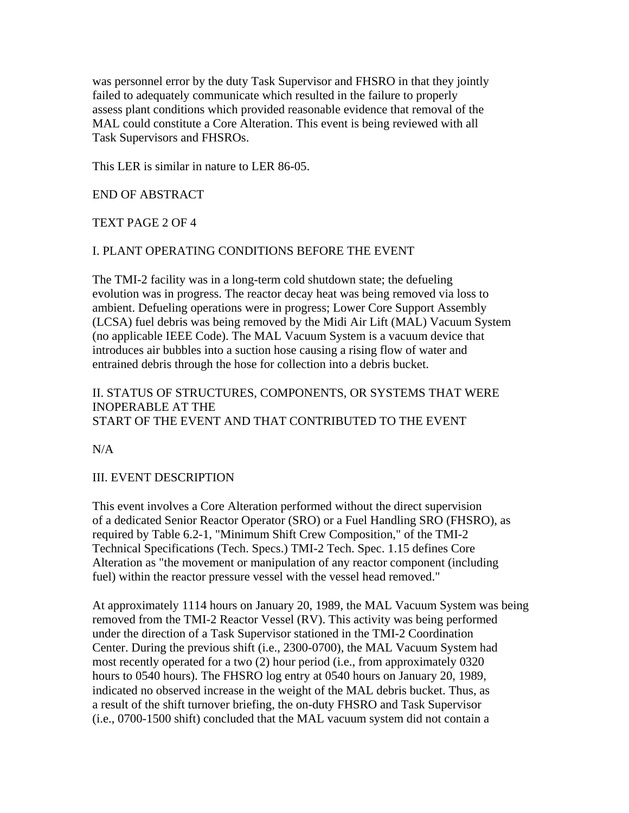was personnel error by the duty Task Supervisor and FHSRO in that they jointly failed to adequately communicate which resulted in the failure to properly assess plant conditions which provided reasonable evidence that removal of the MAL could constitute a Core Alteration. This event is being reviewed with all Task Supervisors and FHSROs.

This LER is similar in nature to LER 86-05.

END OF ABSTRACT

TEXT PAGE 2 OF 4

#### I. PLANT OPERATING CONDITIONS BEFORE THE EVENT

The TMI-2 facility was in a long-term cold shutdown state; the defueling evolution was in progress. The reactor decay heat was being removed via loss to ambient. Defueling operations were in progress; Lower Core Support Assembly (LCSA) fuel debris was being removed by the Midi Air Lift (MAL) Vacuum System (no applicable IEEE Code). The MAL Vacuum System is a vacuum device that introduces air bubbles into a suction hose causing a rising flow of water and entrained debris through the hose for collection into a debris bucket.

### II. STATUS OF STRUCTURES, COMPONENTS, OR SYSTEMS THAT WERE INOPERABLE AT THE START OF THE EVENT AND THAT CONTRIBUTED TO THE EVENT

 $N/A$ 

#### III. EVENT DESCRIPTION

This event involves a Core Alteration performed without the direct supervision of a dedicated Senior Reactor Operator (SRO) or a Fuel Handling SRO (FHSRO), as required by Table 6.2-1, "Minimum Shift Crew Composition," of the TMI-2 Technical Specifications (Tech. Specs.) TMI-2 Tech. Spec. 1.15 defines Core Alteration as "the movement or manipulation of any reactor component (including fuel) within the reactor pressure vessel with the vessel head removed."

At approximately 1114 hours on January 20, 1989, the MAL Vacuum System was being removed from the TMI-2 Reactor Vessel (RV). This activity was being performed under the direction of a Task Supervisor stationed in the TMI-2 Coordination Center. During the previous shift (i.e., 2300-0700), the MAL Vacuum System had most recently operated for a two (2) hour period (i.e., from approximately 0320 hours to 0540 hours). The FHSRO log entry at 0540 hours on January 20, 1989, indicated no observed increase in the weight of the MAL debris bucket. Thus, as a result of the shift turnover briefing, the on-duty FHSRO and Task Supervisor (i.e., 0700-1500 shift) concluded that the MAL vacuum system did not contain a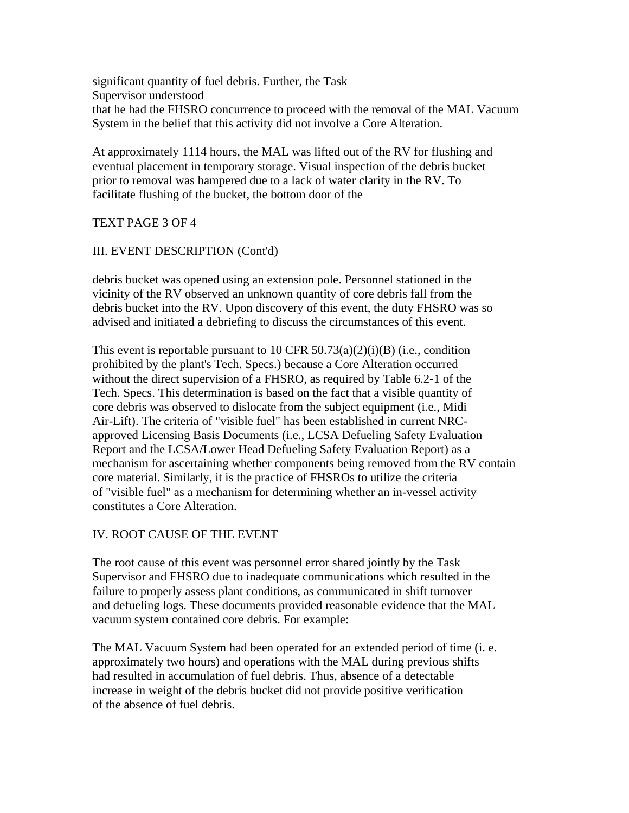significant quantity of fuel debris. Further, the Task Supervisor understood that he had the FHSRO concurrence to proceed with the removal of the MAL Vacuum System in the belief that this activity did not involve a Core Alteration.

At approximately 1114 hours, the MAL was lifted out of the RV for flushing and eventual placement in temporary storage. Visual inspection of the debris bucket prior to removal was hampered due to a lack of water clarity in the RV. To facilitate flushing of the bucket, the bottom door of the

#### TEXT PAGE 3 OF 4

#### III. EVENT DESCRIPTION (Cont'd)

debris bucket was opened using an extension pole. Personnel stationed in the vicinity of the RV observed an unknown quantity of core debris fall from the debris bucket into the RV. Upon discovery of this event, the duty FHSRO was so advised and initiated a debriefing to discuss the circumstances of this event.

This event is reportable pursuant to 10 CFR  $50.73(a)(2)(i)(B)$  (i.e., condition prohibited by the plant's Tech. Specs.) because a Core Alteration occurred without the direct supervision of a FHSRO, as required by Table 6.2-1 of the Tech. Specs. This determination is based on the fact that a visible quantity of core debris was observed to dislocate from the subject equipment (i.e., Midi Air-Lift). The criteria of "visible fuel" has been established in current NRCapproved Licensing Basis Documents (i.e., LCSA Defueling Safety Evaluation Report and the LCSA/Lower Head Defueling Safety Evaluation Report) as a mechanism for ascertaining whether components being removed from the RV contain core material. Similarly, it is the practice of FHSROs to utilize the criteria of "visible fuel" as a mechanism for determining whether an in-vessel activity constitutes a Core Alteration.

#### IV. ROOT CAUSE OF THE EVENT

The root cause of this event was personnel error shared jointly by the Task Supervisor and FHSRO due to inadequate communications which resulted in the failure to properly assess plant conditions, as communicated in shift turnover and defueling logs. These documents provided reasonable evidence that the MAL vacuum system contained core debris. For example:

The MAL Vacuum System had been operated for an extended period of time (i. e. approximately two hours) and operations with the MAL during previous shifts had resulted in accumulation of fuel debris. Thus, absence of a detectable increase in weight of the debris bucket did not provide positive verification of the absence of fuel debris.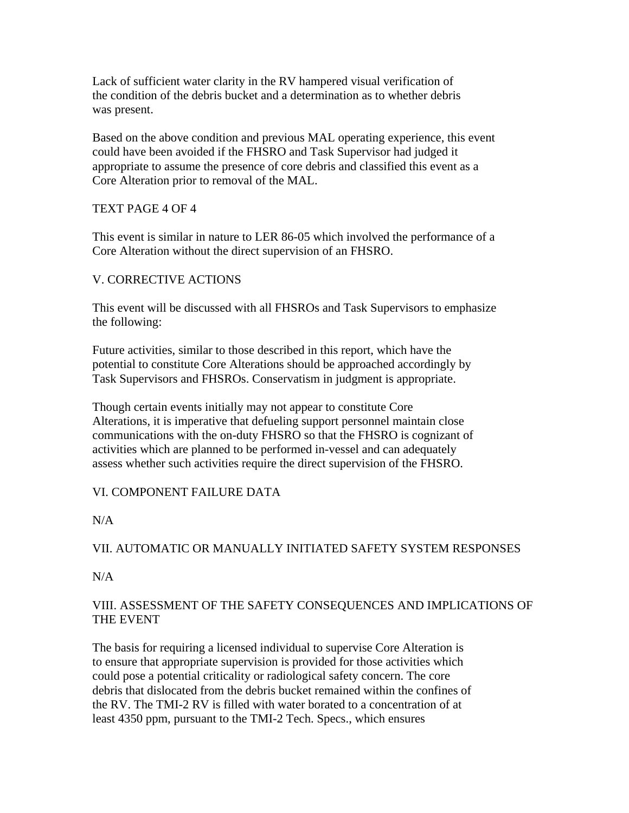Lack of sufficient water clarity in the RV hampered visual verification of the condition of the debris bucket and a determination as to whether debris was present.

Based on the above condition and previous MAL operating experience, this event could have been avoided if the FHSRO and Task Supervisor had judged it appropriate to assume the presence of core debris and classified this event as a Core Alteration prior to removal of the MAL.

# TEXT PAGE 4 OF 4

This event is similar in nature to LER 86-05 which involved the performance of a Core Alteration without the direct supervision of an FHSRO.

# V. CORRECTIVE ACTIONS

This event will be discussed with all FHSROs and Task Supervisors to emphasize the following:

Future activities, similar to those described in this report, which have the potential to constitute Core Alterations should be approached accordingly by Task Supervisors and FHSROs. Conservatism in judgment is appropriate.

Though certain events initially may not appear to constitute Core Alterations, it is imperative that defueling support personnel maintain close communications with the on-duty FHSRO so that the FHSRO is cognizant of activities which are planned to be performed in-vessel and can adequately assess whether such activities require the direct supervision of the FHSRO.

# VI. COMPONENT FAILURE DATA

N/A

# VII. AUTOMATIC OR MANUALLY INITIATED SAFETY SYSTEM RESPONSES

N/A

# VIII. ASSESSMENT OF THE SAFETY CONSEQUENCES AND IMPLICATIONS OF THE EVENT

The basis for requiring a licensed individual to supervise Core Alteration is to ensure that appropriate supervision is provided for those activities which could pose a potential criticality or radiological safety concern. The core debris that dislocated from the debris bucket remained within the confines of the RV. The TMI-2 RV is filled with water borated to a concentration of at least 4350 ppm, pursuant to the TMI-2 Tech. Specs., which ensures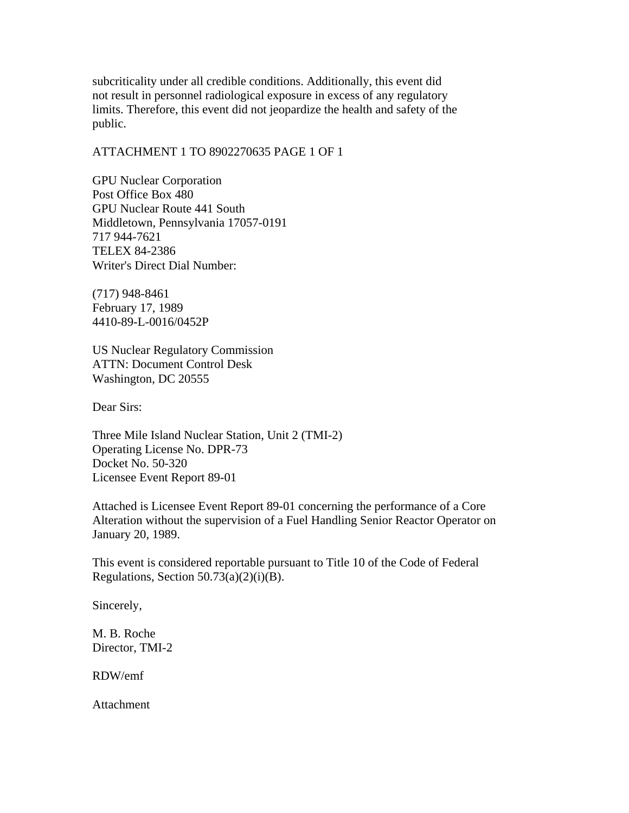subcriticality under all credible conditions. Additionally, this event did not result in personnel radiological exposure in excess of any regulatory limits. Therefore, this event did not jeopardize the health and safety of the public.

#### ATTACHMENT 1 TO 8902270635 PAGE 1 OF 1

GPU Nuclear Corporation Post Office Box 480 GPU Nuclear Route 441 South Middletown, Pennsylvania 17057-0191 717 944-7621 TELEX 84-2386 Writer's Direct Dial Number:

(717) 948-8461 February 17, 1989 4410-89-L-0016/0452P

US Nuclear Regulatory Commission ATTN: Document Control Desk Washington, DC 20555

Dear Sirs:

Three Mile Island Nuclear Station, Unit 2 (TMI-2) Operating License No. DPR-73 Docket No. 50-320 Licensee Event Report 89-01

Attached is Licensee Event Report 89-01 concerning the performance of a Core Alteration without the supervision of a Fuel Handling Senior Reactor Operator on January 20, 1989.

This event is considered reportable pursuant to Title 10 of the Code of Federal Regulations, Section  $50.73(a)(2)(i)(B)$ .

Sincerely,

M. B. Roche Director, TMI-2

RDW/emf

Attachment